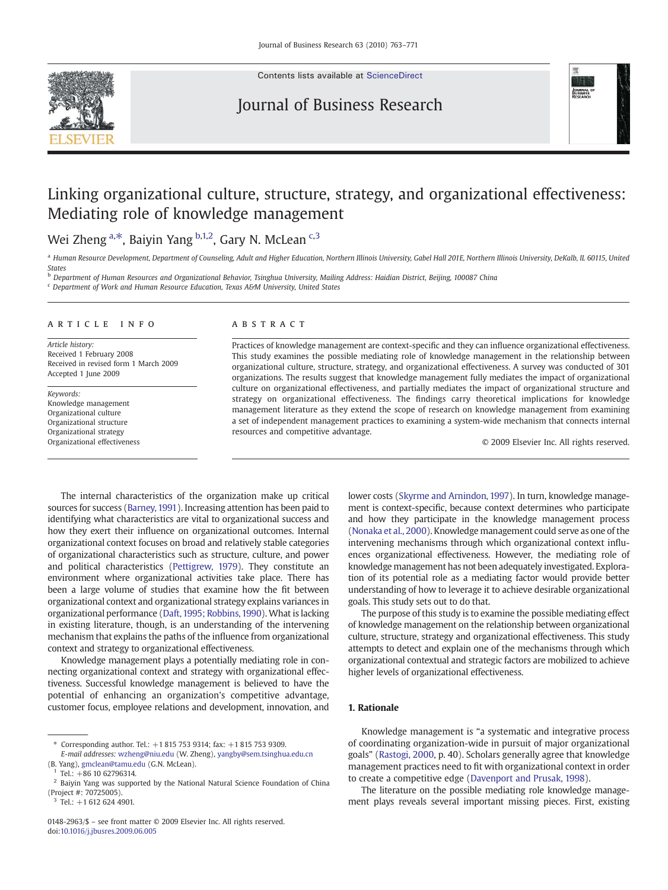

Contents lists available at [ScienceDirect](http://www.sciencedirect.com/science/journal/01482963)

## Journal of Business Research



# Linking organizational culture, structure, strategy, and organizational effectiveness: Mediating role of knowledge management

### Wei Zheng <sup>a,\*</sup>, Baiyin Yang <sup>b,1,2</sup>, Gary N. McLean <sup>c,3</sup>

a Human Resource Development, Department of Counseling, Adult and Higher Education, Northern Illinois University, Gabel Hall 201E, Northern Illinois University, DeKalb, IL 60115, United States

b Department of Human Resources and Organizational Behavior, Tsinghua University, Mailing Address: Haidian District, Beijing, 100087 China

<sup>c</sup> Department of Work and Human Resource Education, Texas A&M University, United States

#### article info abstract

Article history: Received 1 February 2008 Received in revised form 1 March 2009 Accepted 1 June 2009

Keywords: Knowledge management Organizational culture Organizational structure Organizational strategy Organizational effectiveness

Practices of knowledge management are context-specific and they can influence organizational effectiveness. This study examines the possible mediating role of knowledge management in the relationship between organizational culture, structure, strategy, and organizational effectiveness. A survey was conducted of 301 organizations. The results suggest that knowledge management fully mediates the impact of organizational culture on organizational effectiveness, and partially mediates the impact of organizational structure and strategy on organizational effectiveness. The findings carry theoretical implications for knowledge management literature as they extend the scope of research on knowledge management from examining a set of independent management practices to examining a system-wide mechanism that connects internal resources and competitive advantage.

© 2009 Elsevier Inc. All rights reserved.

The internal characteristics of the organization make up critical sources for success ([Barney, 1991\)](#page--1-0). Increasing attention has been paid to identifying what characteristics are vital to organizational success and how they exert their influence on organizational outcomes. Internal organizational context focuses on broad and relatively stable categories of organizational characteristics such as structure, culture, and power and political characteristics [\(Pettigrew, 1979\)](#page--1-0). They constitute an environment where organizational activities take place. There has been a large volume of studies that examine how the fit between organizational context and organizational strategy explains variances in organizational performance [\(Daft,1995; Robbins, 1990\)](#page--1-0). What is lacking in existing literature, though, is an understanding of the intervening mechanism that explains the paths of the influence from organizational context and strategy to organizational effectiveness.

Knowledge management plays a potentially mediating role in connecting organizational context and strategy with organizational effectiveness. Successful knowledge management is believed to have the potential of enhancing an organization's competitive advantage, customer focus, employee relations and development, innovation, and lower costs ([Skyrme and Arnindon, 1997](#page--1-0)). In turn, knowledge management is context-specific, because context determines who participate and how they participate in the knowledge management process [\(Nonaka et al., 2000](#page--1-0)). Knowledge management could serve as one of the intervening mechanisms through which organizational context influences organizational effectiveness. However, the mediating role of knowledge management has not been adequately investigated. Exploration of its potential role as a mediating factor would provide better understanding of how to leverage it to achieve desirable organizational goals. This study sets out to do that.

The purpose of this study is to examine the possible mediating effect of knowledge management on the relationship between organizational culture, structure, strategy and organizational effectiveness. This study attempts to detect and explain one of the mechanisms through which organizational contextual and strategic factors are mobilized to achieve higher levels of organizational effectiveness.

### 1. Rationale

Knowledge management is "a systematic and integrative process of coordinating organization-wide in pursuit of major organizational goals" [\(Rastogi, 2000,](#page--1-0) p. 40). Scholars generally agree that knowledge management practices need to fit with organizational context in order to create a competitive edge ([Davenport and Prusak, 1998\)](#page--1-0).

The literature on the possible mediating role knowledge management plays reveals several important missing pieces. First, existing

<sup>⁎</sup> Corresponding author. Tel.: +1 815 753 9314; fax: +1 815 753 9309.

E-mail addresses: [wzheng@niu.edu](mailto:wzheng@niu.edu) (W. Zheng), [yangby@sem.tsinghua.edu.cn](mailto:yangby@sem.tsinghua.edu.cn) (B. Yang), [gmclean@tamu.edu](mailto:gmclean@tamu.edu) (G.N. McLean).

Tel.: +86 10 62796314.

<sup>2</sup> Baiyin Yang was supported by the National Natural Science Foundation of China (Project #: 70725005).

Tel.: +1 612 624 4901.

<sup>0148-2963/\$</sup> – see front matter © 2009 Elsevier Inc. All rights reserved. doi:[10.1016/j.jbusres.2009.06.005](http://dx.doi.org/10.1016/j.jbusres.2009.06.005)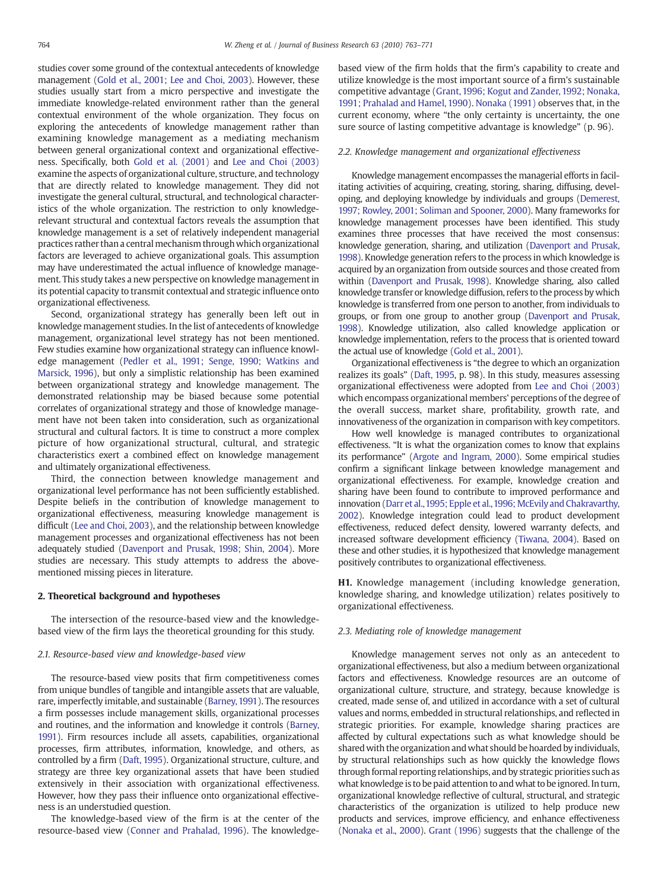studies cover some ground of the contextual antecedents of knowledge management ([Gold et al., 2001; Lee and Choi, 2003](#page--1-0)). However, these studies usually start from a micro perspective and investigate the immediate knowledge-related environment rather than the general contextual environment of the whole organization. They focus on exploring the antecedents of knowledge management rather than examining knowledge management as a mediating mechanism between general organizational context and organizational effectiveness. Specifically, both [Gold et al. \(2001\)](#page--1-0) and [Lee and Choi \(2003\)](#page--1-0) examine the aspects of organizational culture, structure, and technology that are directly related to knowledge management. They did not investigate the general cultural, structural, and technological characteristics of the whole organization. The restriction to only knowledgerelevant structural and contextual factors reveals the assumption that knowledge management is a set of relatively independent managerial practices rather than a central mechanism through which organizational factors are leveraged to achieve organizational goals. This assumption may have underestimated the actual influence of knowledge management. This study takes a new perspective on knowledge management in its potential capacity to transmit contextual and strategic influence onto organizational effectiveness.

Second, organizational strategy has generally been left out in knowledge management studies. In the list of antecedents of knowledge management, organizational level strategy has not been mentioned. Few studies examine how organizational strategy can influence knowledge management [\(Pedler et al., 1991; Senge, 1990; Watkins and](#page--1-0) [Marsick, 1996](#page--1-0)), but only a simplistic relationship has been examined between organizational strategy and knowledge management. The demonstrated relationship may be biased because some potential correlates of organizational strategy and those of knowledge management have not been taken into consideration, such as organizational structural and cultural factors. It is time to construct a more complex picture of how organizational structural, cultural, and strategic characteristics exert a combined effect on knowledge management and ultimately organizational effectiveness.

Third, the connection between knowledge management and organizational level performance has not been sufficiently established. Despite beliefs in the contribution of knowledge management to organizational effectiveness, measuring knowledge management is difficult ([Lee and Choi, 2003](#page--1-0)), and the relationship between knowledge management processes and organizational effectiveness has not been adequately studied [\(Davenport and Prusak, 1998; Shin, 2004](#page--1-0)). More studies are necessary. This study attempts to address the abovementioned missing pieces in literature.

#### 2. Theoretical background and hypotheses

The intersection of the resource-based view and the knowledgebased view of the firm lays the theoretical grounding for this study.

#### 2.1. Resource-based view and knowledge-based view

The resource-based view posits that firm competitiveness comes from unique bundles of tangible and intangible assets that are valuable, rare, imperfectly imitable, and sustainable ([Barney,1991\)](#page--1-0). The resources a firm possesses include management skills, organizational processes and routines, and the information and knowledge it controls ([Barney,](#page--1-0) [1991\)](#page--1-0). Firm resources include all assets, capabilities, organizational processes, firm attributes, information, knowledge, and others, as controlled by a firm ([Daft, 1995](#page--1-0)). Organizational structure, culture, and strategy are three key organizational assets that have been studied extensively in their association with organizational effectiveness. However, how they pass their influence onto organizational effectiveness is an understudied question.

The knowledge-based view of the firm is at the center of the resource-based view [\(Conner and Prahalad, 1996\)](#page--1-0). The knowledgebased view of the firm holds that the firm's capability to create and utilize knowledge is the most important source of a firm's sustainable competitive advantage ([Grant, 1996; Kogut and Zander, 1992; Nonaka,](#page--1-0) [1991; Prahalad and Hamel, 1990](#page--1-0)). [Nonaka \(1991\)](#page--1-0) observes that, in the current economy, where "the only certainty is uncertainty, the one sure source of lasting competitive advantage is knowledge" (p. 96).

#### 2.2. Knowledge management and organizational effectiveness

Knowledge management encompasses the managerial efforts in facilitating activities of acquiring, creating, storing, sharing, diffusing, developing, and deploying knowledge by individuals and groups [\(Demerest,](#page--1-0) [1997; Rowley, 2001; Soliman and Spooner, 2000](#page--1-0)). Many frameworks for knowledge management processes have been identified. This study examines three processes that have received the most consensus: knowledge generation, sharing, and utilization [\(Davenport and Prusak,](#page--1-0) [1998\)](#page--1-0). Knowledge generation refers to the process in which knowledge is acquired by an organization from outside sources and those created from within ([Davenport and Prusak, 1998](#page--1-0)). Knowledge sharing, also called knowledge transfer or knowledge diffusion, refers to the process by which knowledge is transferred from one person to another, from individuals to groups, or from one group to another group [\(Davenport and Prusak,](#page--1-0) [1998\)](#page--1-0). Knowledge utilization, also called knowledge application or knowledge implementation, refers to the process that is oriented toward the actual use of knowledge ([Gold et al., 2001](#page--1-0)).

Organizational effectiveness is "the degree to which an organization realizes its goals" [\(Daft, 1995](#page--1-0), p. 98). In this study, measures assessing organizational effectiveness were adopted from [Lee and Choi \(2003\)](#page--1-0) which encompass organizational members' perceptions of the degree of the overall success, market share, profitability, growth rate, and innovativeness of the organization in comparison with key competitors.

How well knowledge is managed contributes to organizational effectiveness. "It is what the organization comes to know that explains its performance" [\(Argote and Ingram, 2000](#page--1-0)). Some empirical studies confirm a significant linkage between knowledge management and organizational effectiveness. For example, knowledge creation and sharing have been found to contribute to improved performance and innovation [\(Darr et al.,1995; Epple et al.,1996; McEvily and Chakravarthy,](#page--1-0) [2002\)](#page--1-0). Knowledge integration could lead to product development effectiveness, reduced defect density, lowered warranty defects, and increased software development efficiency ([Tiwana, 2004](#page--1-0)). Based on these and other studies, it is hypothesized that knowledge management positively contributes to organizational effectiveness.

H1. Knowledge management (including knowledge generation, knowledge sharing, and knowledge utilization) relates positively to organizational effectiveness.

#### 2.3. Mediating role of knowledge management

Knowledge management serves not only as an antecedent to organizational effectiveness, but also a medium between organizational factors and effectiveness. Knowledge resources are an outcome of organizational culture, structure, and strategy, because knowledge is created, made sense of, and utilized in accordance with a set of cultural values and norms, embedded in structural relationships, and reflected in strategic priorities. For example, knowledge sharing practices are affected by cultural expectations such as what knowledge should be shared with the organization andwhat should be hoarded by individuals, by structural relationships such as how quickly the knowledge flows through formal reporting relationships, and by strategic priorities such as what knowledge is to be paid attention to andwhat to be ignored. In turn, organizational knowledge reflective of cultural, structural, and strategic characteristics of the organization is utilized to help produce new products and services, improve efficiency, and enhance effectiveness [\(Nonaka et al., 2000\)](#page--1-0). [Grant \(1996\)](#page--1-0) suggests that the challenge of the